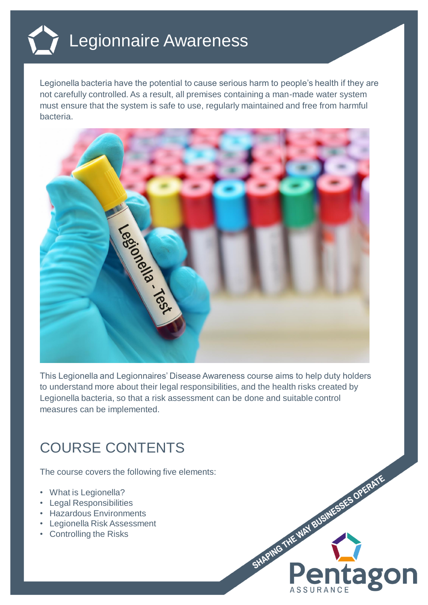

Legionella bacteria have the potential to cause serious harm to people's health if they are not carefully controlled. As a result, all premises containing a man-made water system must ensure that the system is safe to use, regularly maintained and free from harmful bacteria.



This Legionella and Legionnaires' Disease Awareness course aims to help duty holders to understand more about their legal responsibilities, and the health risks created by Legionella bacteria, so that a risk assessment can be done and suitable control measures can be implemented.

## COURSE CONTENTS

The course covers the following five elements:

- What is Legionella?
- Legal Responsibilities
- Hazardous Environments
- Legionella Risk Assessment
- Controlling the Risks